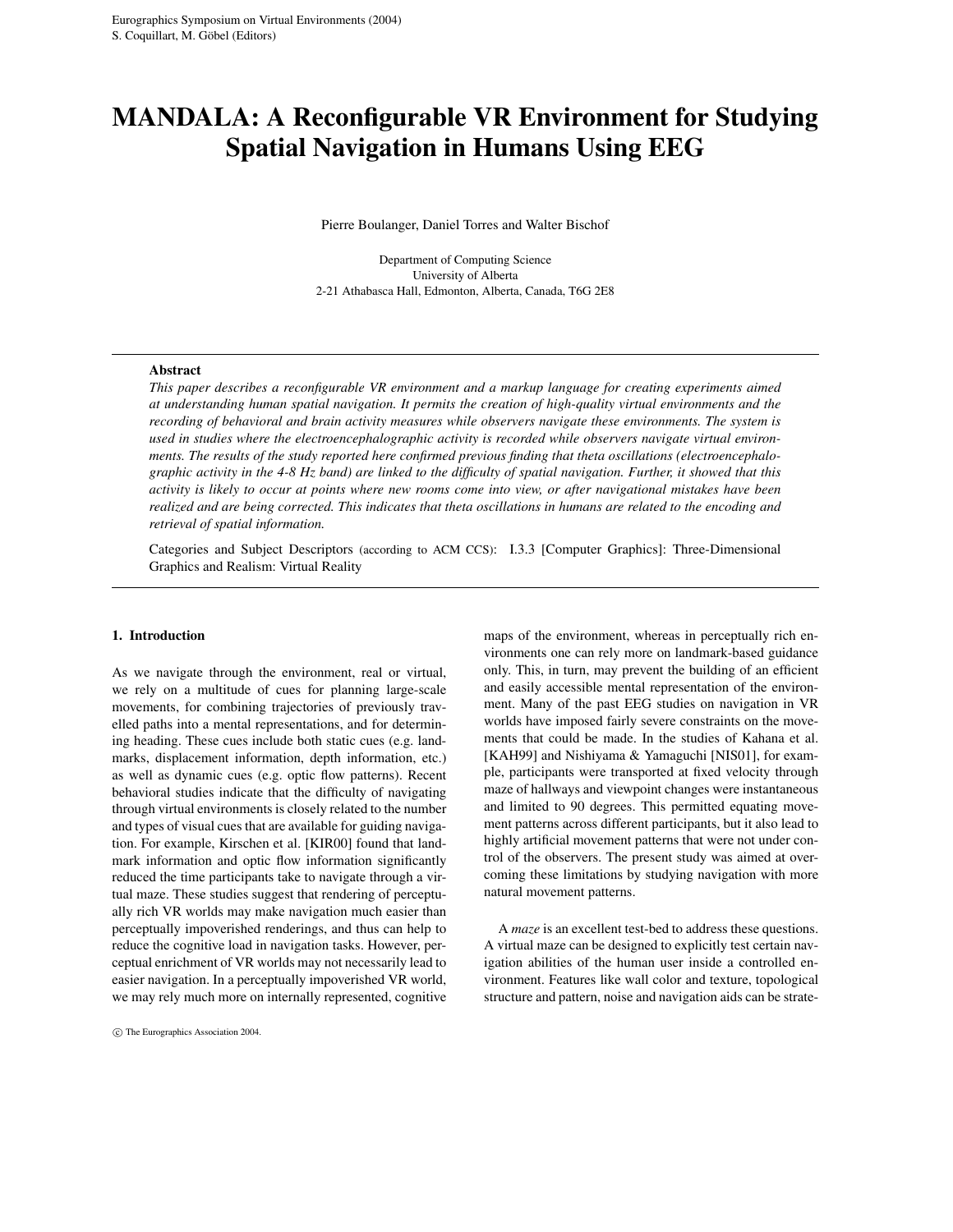# **MANDALA: A Reconfigurable VR Environment for Studying Spatial Navigation in Humans Using EEG**

Pierre Boulanger, Daniel Torres and Walter Bischof

Department of Computing Science University of Alberta 2-21 Athabasca Hall, Edmonton, Alberta, Canada, T6G 2E8

#### **Abstract**

*This paper describes a reconfigurable VR environment and a markup language for creating experiments aimed at understanding human spatial navigation. It permits the creation of high-quality virtual environments and the recording of behavioral and brain activity measures while observers navigate these environments. The system is used in studies where the electroencephalographic activity is recorded while observers navigate virtual environments. The results of the study reported here confirmed previous finding that theta oscillations (electroencephalo*graphic activity in the  $4-8$  Hz band) are linked to the difficulty of spatial navigation. Further, it showed that this activity is likely to occur at points where new rooms come into view, or after navigational mistakes have been realized and are being corrected. This indicates that theta oscillations in humans are related to the encoding and *retrieval of spatial information.*

Categories and Subject Descriptors (according to ACM CCS): I.3.3 [Computer Graphics]: Three-Dimensional Graphics and Realism: Virtual Reality

#### **1. Introduction**

As we navigate through the environment, real or virtual, we rely on a multitude of cues for planning large-scale movements, for combining trajectories of previously travelled paths into a mental representations, and for determining heading. These cues include both static cues (e.g. landmarks, displacement information, depth information, etc.) as well as dynamic cues (e.g. optic flow patterns). Recent behavioral studies indicate that the difficulty of navigating through virtual environments is closely related to the number and types of visual cues that are available for guiding navigation. For example, Kirschen et al. [KIR00] found that landmark information and optic flow information significantly reduced the time participants take to navigate through a virtual maze. These studies suggest that rendering of perceptually rich VR worlds may make navigation much easier than perceptually impoverished renderings, and thus can help to reduce the cognitive load in navigation tasks. However, perceptual enrichment of VR worlds may not necessarily lead to easier navigation. In a perceptually impoverished VR world, we may rely much more on internally represented, cognitive

°c The Eurographics Association 2004.

maps of the environment, whereas in perceptually rich environments one can rely more on landmark-based guidance only. This, in turn, may prevent the building of an efficient and easily accessible mental representation of the environment. Many of the past EEG studies on navigation in VR worlds have imposed fairly severe constraints on the movements that could be made. In the studies of Kahana et al. [KAH99] and Nishiyama & Yamaguchi [NIS01], for example, participants were transported at fixed velocity through maze of hallways and viewpoint changes were instantaneous and limited to 90 degrees. This permitted equating movement patterns across different participants, but it also lead to highly artificial movement patterns that were not under control of the observers. The present study was aimed at overcoming these limitations by studying navigation with more natural movement patterns.

A *maze* is an excellent test-bed to address these questions. A virtual maze can be designed to explicitly test certain navigation abilities of the human user inside a controlled environment. Features like wall color and texture, topological structure and pattern, noise and navigation aids can be strate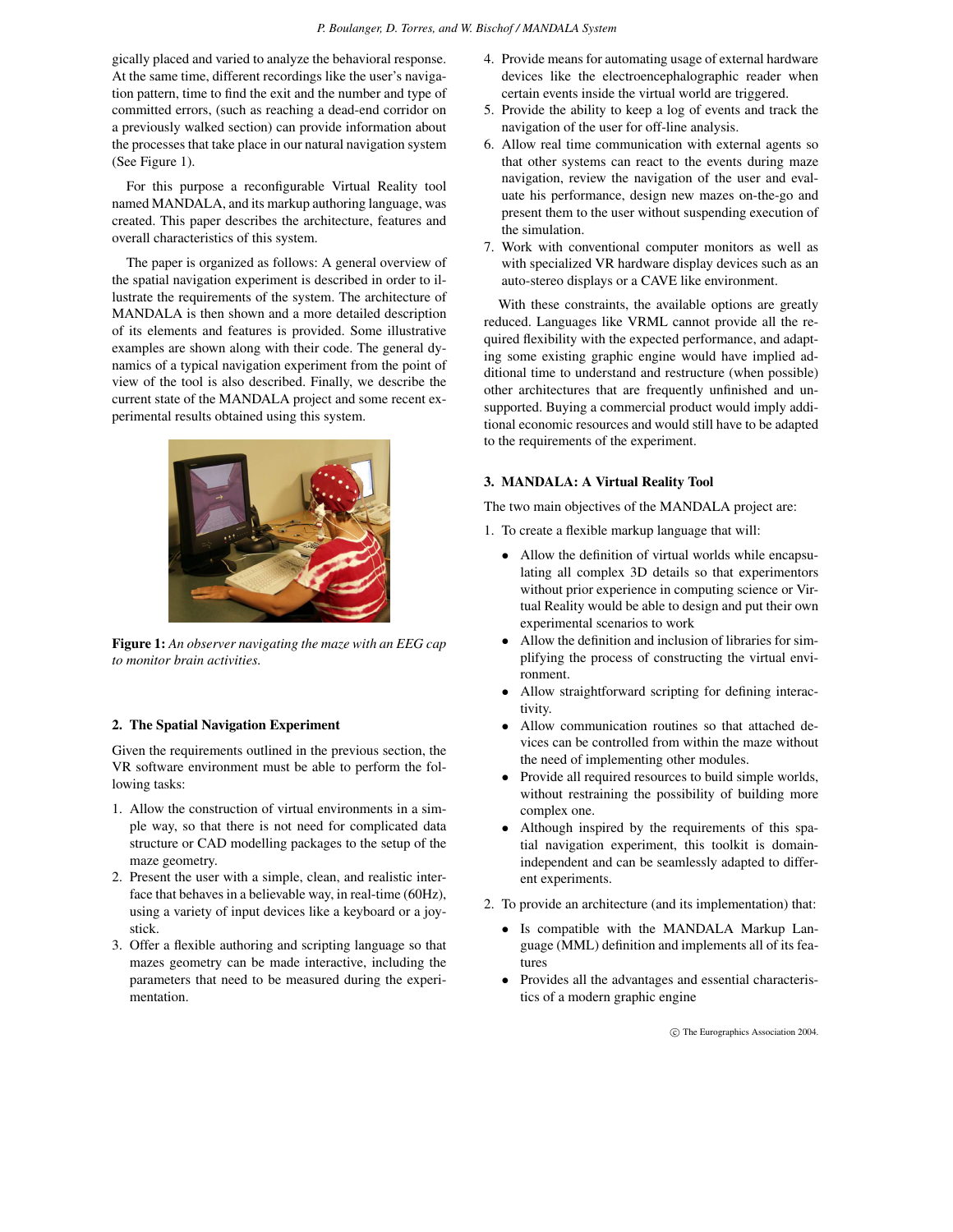gically placed and varied to analyze the behavioral response. At the same time, different recordings like the user's navigation pattern, time to find the exit and the number and type of committed errors, (such as reaching a dead-end corridor on a previously walked section) can provide information about the processes that take place in our natural navigation system (See Figure 1).

For this purpose a reconfigurable Virtual Reality tool named MANDALA, and its markup authoring language, was created. This paper describes the architecture, features and overall characteristics of this system.

The paper is organized as follows: A general overview of the spatial navigation experiment is described in order to illustrate the requirements of the system. The architecture of MANDALA is then shown and a more detailed description of its elements and features is provided. Some illustrative examples are shown along with their code. The general dynamics of a typical navigation experiment from the point of view of the tool is also described. Finally, we describe the current state of the MANDALA project and some recent experimental results obtained using this system.



**Figure 1:** *An observer navigating the maze with an EEG cap to monitor brain activities.*

#### **2. The Spatial Navigation Experiment**

Given the requirements outlined in the previous section, the VR software environment must be able to perform the following tasks:

- 1. Allow the construction of virtual environments in a simple way, so that there is not need for complicated data structure or CAD modelling packages to the setup of the maze geometry.
- 2. Present the user with a simple, clean, and realistic interface that behaves in a believable way, in real-time (60Hz), using a variety of input devices like a keyboard or a joystick.
- 3. Offer a flexible authoring and scripting language so that mazes geometry can be made interactive, including the parameters that need to be measured during the experimentation.
- 4. Provide means for automating usage of external hardware devices like the electroencephalographic reader when certain events inside the virtual world are triggered.
- 5. Provide the ability to keep a log of events and track the navigation of the user for off-line analysis.
- 6. Allow real time communication with external agents so that other systems can react to the events during maze navigation, review the navigation of the user and evaluate his performance, design new mazes on-the-go and present them to the user without suspending execution of the simulation.
- 7. Work with conventional computer monitors as well as with specialized VR hardware display devices such as an auto-stereo displays or a CAVE like environment.

With these constraints, the available options are greatly reduced. Languages like VRML cannot provide all the required flexibility with the expected performance, and adapting some existing graphic engine would have implied additional time to understand and restructure (when possible) other architectures that are frequently unfinished and unsupported. Buying a commercial product would imply additional economic resources and would still have to be adapted to the requirements of the experiment.

### **3. MANDALA: A Virtual Reality Tool**

The two main objectives of the MANDALA project are:

- 1. To create a flexible markup language that will:
	- Allow the definition of virtual worlds while encapsulating all complex 3D details so that experimentors without prior experience in computing science or Virtual Reality would be able to design and put their own experimental scenarios to work
	- Allow the definition and inclusion of libraries for simplifying the process of constructing the virtual environment.
	- Allow straightforward scripting for defining interactivity.
	- Allow communication routines so that attached devices can be controlled from within the maze without the need of implementing other modules.
	- Provide all required resources to build simple worlds, without restraining the possibility of building more complex one.
	- Although inspired by the requirements of this spatial navigation experiment, this toolkit is domainindependent and can be seamlessly adapted to different experiments.
- 2. To provide an architecture (and its implementation) that:
	- Is compatible with the MANDALA Markup Language (MML) definition and implements all of its features
	- Provides all the advantages and essential characteristics of a modern graphic engine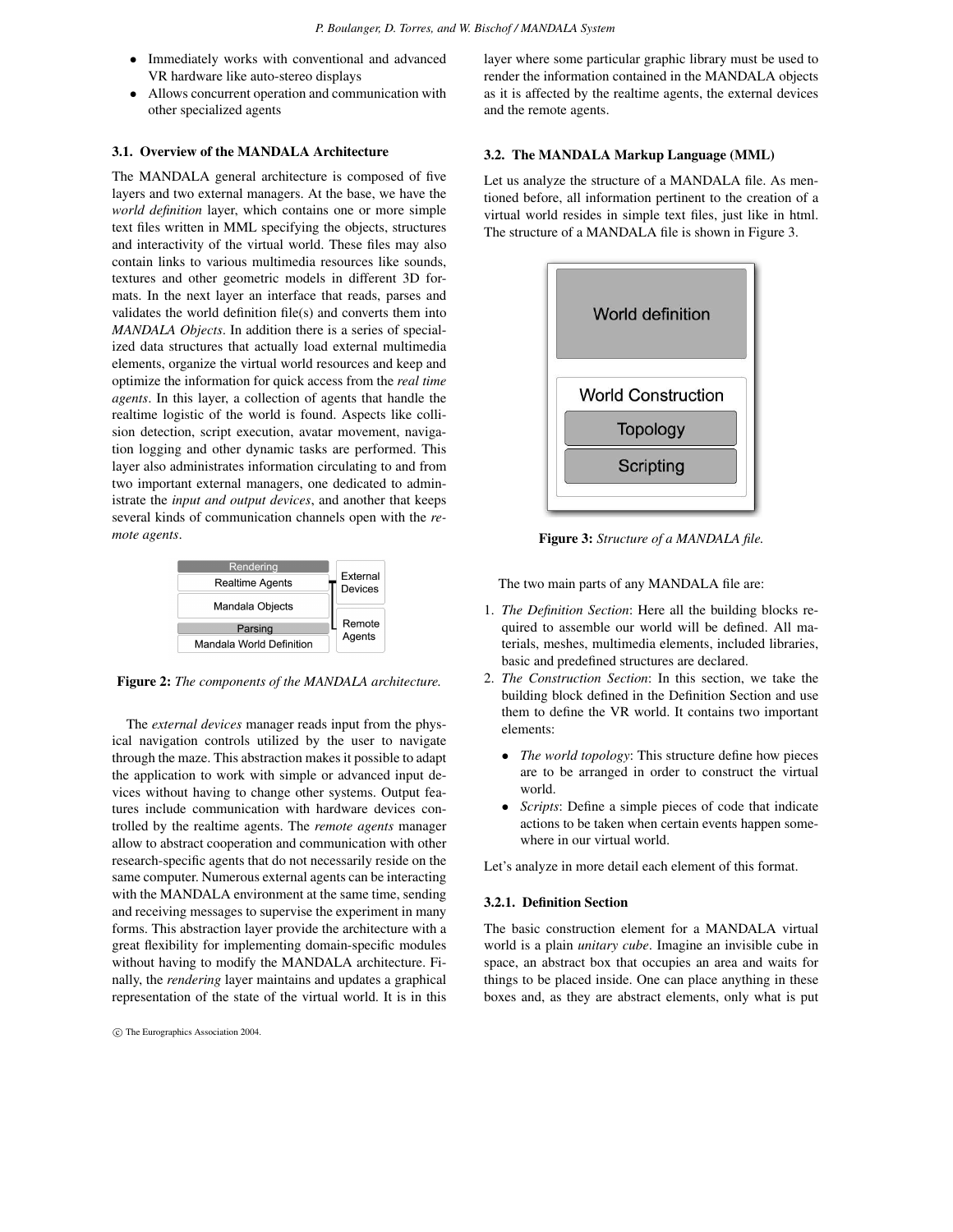- Immediately works with conventional and advanced VR hardware like auto-stereo displays
- Allows concurrent operation and communication with other specialized agents

## **3.1. Overview of the MANDALA Architecture**

The MANDALA general architecture is composed of five layers and two external managers. At the base, we have the *world definition* layer, which contains one or more simple text files written in MML specifying the objects, structures and interactivity of the virtual world. These files may also contain links to various multimedia resources like sounds, textures and other geometric models in different 3D formats. In the next layer an interface that reads, parses and validates the world definition file(s) and converts them into *MANDALA Objects*. In addition there is a series of specialized data structures that actually load external multimedia elements, organize the virtual world resources and keep and optimize the information for quick access from the *real time agents*. In this layer, a collection of agents that handle the realtime logistic of the world is found. Aspects like collision detection, script execution, avatar movement, navigation logging and other dynamic tasks are performed. This layer also administrates information circulating to and from two important external managers, one dedicated to administrate the *input and output devices*, and another that keeps several kinds of communication channels open with the *remote agents*.



**Figure 2:** *The components of the MANDALA architecture.*

The *external devices* manager reads input from the physical navigation controls utilized by the user to navigate through the maze. This abstraction makes it possible to adapt the application to work with simple or advanced input devices without having to change other systems. Output features include communication with hardware devices controlled by the realtime agents. The *remote agents* manager allow to abstract cooperation and communication with other research-specific agents that do not necessarily reside on the same computer. Numerous external agents can be interacting with the MANDALA environment at the same time, sending and receiving messages to supervise the experiment in many forms. This abstraction layer provide the architecture with a great flexibility for implementing domain-specific modules without having to modify the MANDALA architecture. Finally, the *rendering* layer maintains and updates a graphical representation of the state of the virtual world. It is in this layer where some particular graphic library must be used to render the information contained in the MANDALA objects as it is affected by the realtime agents, the external devices and the remote agents.

#### **3.2. The MANDALA Markup Language (MML)**

Let us analyze the structure of a MANDALA file. As mentioned before, all information pertinent to the creation of a virtual world resides in simple text files, just like in html. The structure of a MANDALA file is shown in Figure 3.



**Figure 3:** *Structure of a MANDALA file.*

The two main parts of any MANDALA file are:

- 1. *The Definition Section*: Here all the building blocks required to assemble our world will be defined. All materials, meshes, multimedia elements, included libraries, basic and predefined structures are declared.
- 2. *The Construction Section*: In this section, we take the building block defined in the Definition Section and use them to define the VR world. It contains two important elements:
	- *The world topology*: This structure define how pieces are to be arranged in order to construct the virtual world.
	- *Scripts*: Define a simple pieces of code that indicate actions to be taken when certain events happen somewhere in our virtual world.

Let's analyze in more detail each element of this format.

#### **3.2.1. Definition Section**

The basic construction element for a MANDALA virtual world is a plain *unitary cube*. Imagine an invisible cube in space, an abstract box that occupies an area and waits for things to be placed inside. One can place anything in these boxes and, as they are abstract elements, only what is put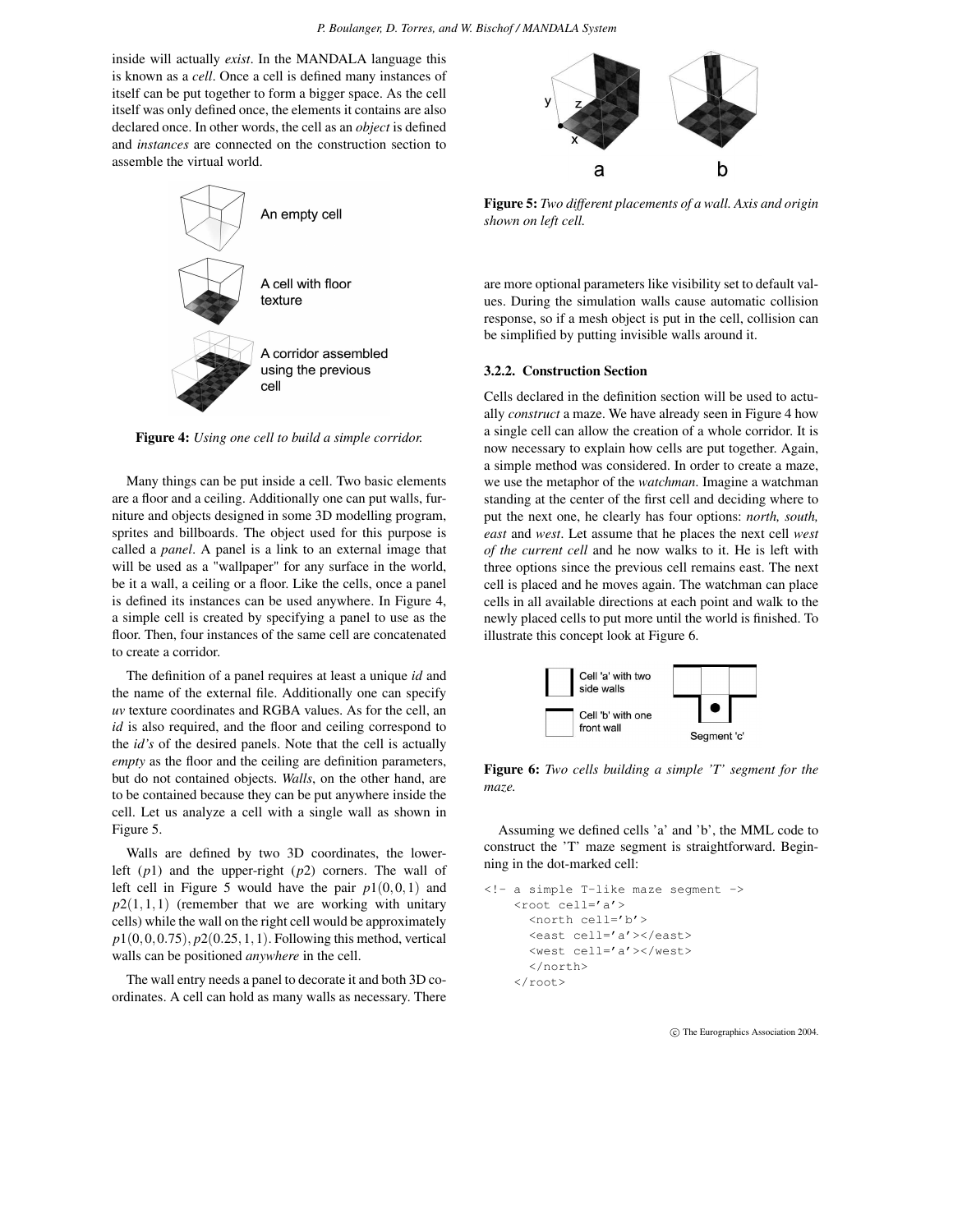inside will actually *exist*. In the MANDALA language this is known as a *cell*. Once a cell is defined many instances of itself can be put together to form a bigger space. As the cell itself was only defined once, the elements it contains are also declared once. In other words, the cell as an *object* is defined and *instances* are connected on the construction section to assemble the virtual world.



**Figure 4:** *Using one cell to build a simple corridor.*

Many things can be put inside a cell. Two basic elements are a floor and a ceiling. Additionally one can put walls, furniture and objects designed in some 3D modelling program, sprites and billboards. The object used for this purpose is called a *panel*. A panel is a link to an external image that will be used as a "wallpaper" for any surface in the world, be it a wall, a ceiling or a floor. Like the cells, once a panel is defined its instances can be used anywhere. In Figure 4, a simple cell is created by specifying a panel to use as the floor. Then, four instances of the same cell are concatenated to create a corridor.

The definition of a panel requires at least a unique *id* and the name of the external file. Additionally one can specify *uv* texture coordinates and RGBA values. As for the cell, an *id* is also required, and the floor and ceiling correspond to the *id's* of the desired panels. Note that the cell is actually *empty* as the floor and the ceiling are definition parameters, but do not contained objects. *Walls*, on the other hand, are to be contained because they can be put anywhere inside the cell. Let us analyze a cell with a single wall as shown in Figure 5.

Walls are defined by two 3D coordinates, the lowerleft (*p*1) and the upper-right (*p*2) corners. The wall of left cell in Figure 5 would have the pair  $p1(0,0,1)$  and  $p2(1,1,1)$  (remember that we are working with unitary cells) while the wall on the right cell would be approximately *p*1(0,0,0.75), *p*2(0.25,1,1). Following this method, vertical walls can be positioned *anywhere* in the cell.

The wall entry needs a panel to decorate it and both 3D coordinates. A cell can hold as many walls as necessary. There



**Figure 5:** *Two different placements of a wall. Axis and origin shown on left cell.*

are more optional parameters like visibility set to default values. During the simulation walls cause automatic collision response, so if a mesh object is put in the cell, collision can be simplified by putting invisible walls around it.

#### **3.2.2. Construction Section**

Cells declared in the definition section will be used to actually *construct* a maze. We have already seen in Figure 4 how a single cell can allow the creation of a whole corridor. It is now necessary to explain how cells are put together. Again, a simple method was considered. In order to create a maze, we use the metaphor of the *watchman*. Imagine a watchman standing at the center of the first cell and deciding where to put the next one, he clearly has four options: *north, south, east* and *west*. Let assume that he places the next cell *west of the current cell* and he now walks to it. He is left with three options since the previous cell remains east. The next cell is placed and he moves again. The watchman can place cells in all available directions at each point and walk to the newly placed cells to put more until the world is finished. To illustrate this concept look at Figure 6.



**Figure 6:** *Two cells building a simple 'T' segment for the maze.*

Assuming we defined cells 'a' and 'b', the MML code to construct the 'T' maze segment is straightforward. Beginning in the dot-marked cell:

```
<!- a simple T-like maze segment ->
    <root cell='a'>
      <north cell='b'>
      <east cell='a'></east>
      <west cell='a'></west>
      </north>
    \langleroot>
```
°c The Eurographics Association 2004.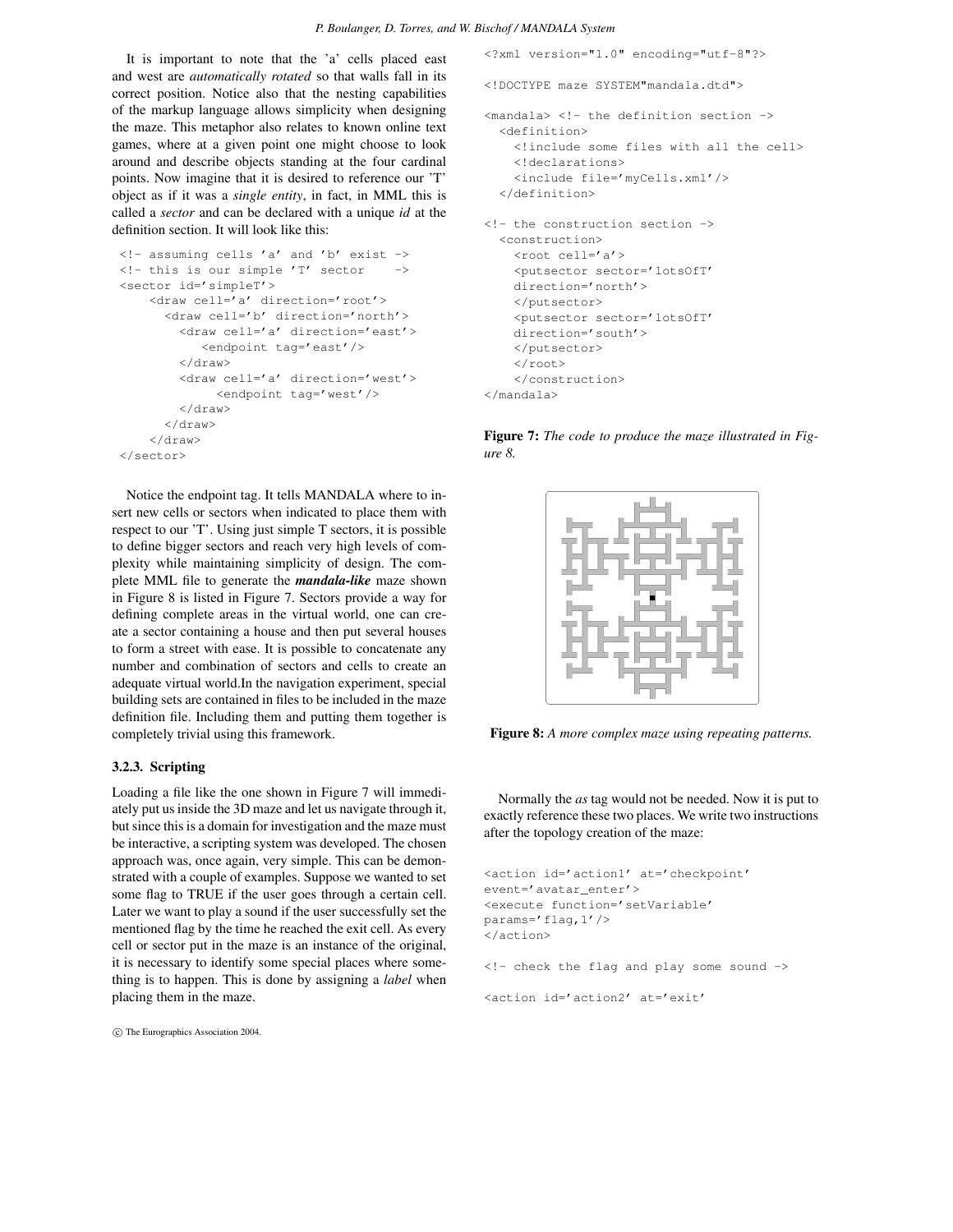It is important to note that the 'a' cells placed east and west are *automatically rotated* so that walls fall in its correct position. Notice also that the nesting capabilities of the markup language allows simplicity when designing the maze. This metaphor also relates to known online text games, where at a given point one might choose to look around and describe objects standing at the four cardinal points. Now imagine that it is desired to reference our 'T' object as if it was a *single entity*, in fact, in MML this is called a *sector* and can be declared with a unique *id* at the definition section. It will look like this:

```
\langle!- assuming cells 'a' and 'b' exist ->
\langle!- this is our simple 'T' sector ->
<sector id='simpleT'>
    <draw cell='a' direction='root'>
      <draw cell='b' direction='north'>
        <draw cell='a' direction='east'>
           <endpoint tag='east'/>
        </draw>
        <draw cell='a' direction='west'>
             <endpoint tag='west'/>
        </draw>
      </draw>
    </draw>
</sector>
```
Notice the endpoint tag. It tells MANDALA where to insert new cells or sectors when indicated to place them with respect to our 'T'. Using just simple T sectors, it is possible to define bigger sectors and reach very high levels of complexity while maintaining simplicity of design. The complete MML file to generate the *mandala-like* maze shown in Figure 8 is listed in Figure 7. Sectors provide a way for defining complete areas in the virtual world, one can create a sector containing a house and then put several houses to form a street with ease. It is possible to concatenate any number and combination of sectors and cells to create an adequate virtual world.In the navigation experiment, special building sets are contained in files to be included in the maze definition file. Including them and putting them together is completely trivial using this framework.

## **3.2.3. Scripting**

Loading a file like the one shown in Figure 7 will immediately put us inside the 3D maze and let us navigate through it, but since this is a domain for investigation and the maze must be interactive, a scripting system was developed. The chosen approach was, once again, very simple. This can be demonstrated with a couple of examples. Suppose we wanted to set some flag to TRUE if the user goes through a certain cell. Later we want to play a sound if the user successfully set the mentioned flag by the time he reached the exit cell. As every cell or sector put in the maze is an instance of the original, it is necessary to identify some special places where something is to happen. This is done by assigning a *label* when placing them in the maze.

°c The Eurographics Association 2004.

```
<?xml version="1.0" encoding="utf-8"?>
<!DOCTYPE maze SYSTEM"mandala.dtd">
<sub>mandala</sub> > <! -</math> the definition section -</sub>
  <definition>
    <!include some files with all the cell>
    <!declarations>
    <include file='myCells.xml'/>
  </definition>
<!- the construction section ->
  <construction>
    <root cell='a'>
   <putsector sector='lotsOfT'
    direction='north'>
   </putsector>
    <putsector sector='lotsOfT'
   direction='south'>
   </putsector>
    \langle root\rangle</construction>
</mandala>
```
**Figure 7:** *The code to produce the maze illustrated in Figure 8.*



**Figure 8:** *A more complex maze using repeating patterns.*

Normally the *as* tag would not be needed. Now it is put to exactly reference these two places. We write two instructions after the topology creation of the maze:

```
<action id='action1' at='checkpoint'
event='avatar_enter'>
<execute function='setVariable'
params='flag,1'/>
</action>
<!- check the flag and play some sound ->
<action id='action2' at='exit'
```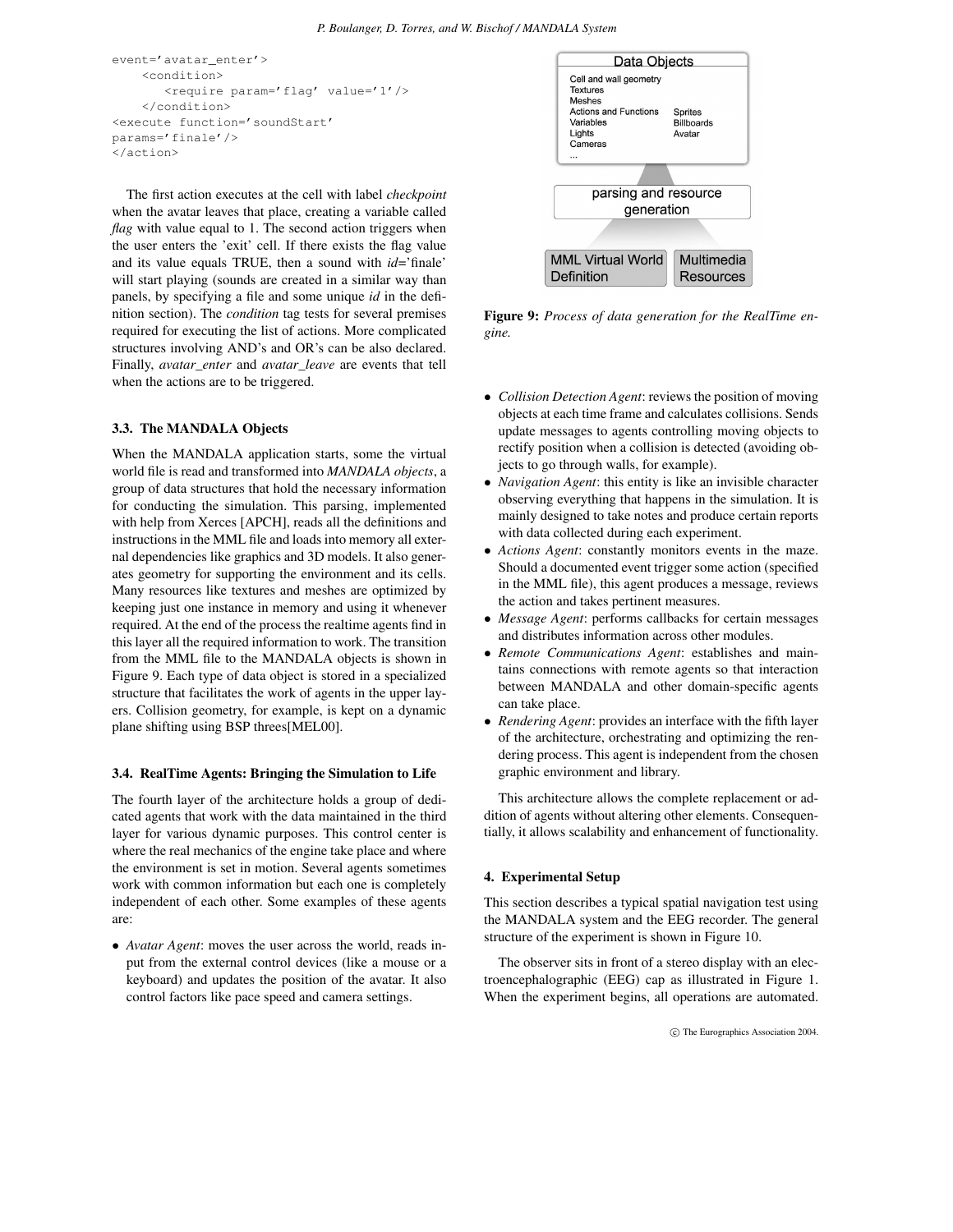```
event='avatar_enter'>
    <condition>
       <require param='flag' value='1'/>
    </condition>
<execute function='soundStart'
params='finale'/>
</action>
```
The first action executes at the cell with label *checkpoint* when the avatar leaves that place, creating a variable called *flag* with value equal to 1. The second action triggers when the user enters the 'exit' cell. If there exists the flag value and its value equals TRUE, then a sound with *id*='finale' will start playing (sounds are created in a similar way than panels, by specifying a file and some unique *id* in the definition section). The *condition* tag tests for several premises required for executing the list of actions. More complicated structures involving AND's and OR's can be also declared. Finally, *avatar\_enter* and *avatar\_leave* are events that tell when the actions are to be triggered.

#### **3.3. The MANDALA Objects**

When the MANDALA application starts, some the virtual world file is read and transformed into *MANDALA objects*, a group of data structures that hold the necessary information for conducting the simulation. This parsing, implemented with help from Xerces [APCH], reads all the definitions and instructions in the MML file and loads into memory all external dependencies like graphics and 3D models. It also generates geometry for supporting the environment and its cells. Many resources like textures and meshes are optimized by keeping just one instance in memory and using it whenever required. At the end of the process the realtime agents find in this layer all the required information to work. The transition from the MML file to the MANDALA objects is shown in Figure 9. Each type of data object is stored in a specialized structure that facilitates the work of agents in the upper layers. Collision geometry, for example, is kept on a dynamic plane shifting using BSP threes[MEL00].

#### **3.4. RealTime Agents: Bringing the Simulation to Life**

The fourth layer of the architecture holds a group of dedicated agents that work with the data maintained in the third layer for various dynamic purposes. This control center is where the real mechanics of the engine take place and where the environment is set in motion. Several agents sometimes work with common information but each one is completely independent of each other. Some examples of these agents are:

• *Avatar Agent*: moves the user across the world, reads input from the external control devices (like a mouse or a keyboard) and updates the position of the avatar. It also control factors like pace speed and camera settings.



**Figure 9:** *Process of data generation for the RealTime engine.*

- *Collision Detection Agent*: reviews the position of moving objects at each time frame and calculates collisions. Sends update messages to agents controlling moving objects to rectify position when a collision is detected (avoiding objects to go through walls, for example).
- *Navigation Agent*: this entity is like an invisible character observing everything that happens in the simulation. It is mainly designed to take notes and produce certain reports with data collected during each experiment.
- *Actions Agent*: constantly monitors events in the maze. Should a documented event trigger some action (specified in the MML file), this agent produces a message, reviews the action and takes pertinent measures.
- *Message Agent*: performs callbacks for certain messages and distributes information across other modules.
- *Remote Communications Agent*: establishes and maintains connections with remote agents so that interaction between MANDALA and other domain-specific agents can take place.
- *Rendering Agent*: provides an interface with the fifth layer of the architecture, orchestrating and optimizing the rendering process. This agent is independent from the chosen graphic environment and library.

This architecture allows the complete replacement or addition of agents without altering other elements. Consequentially, it allows scalability and enhancement of functionality.

#### **4. Experimental Setup**

This section describes a typical spatial navigation test using the MANDALA system and the EEG recorder. The general structure of the experiment is shown in Figure 10.

The observer sits in front of a stereo display with an electroencephalographic (EEG) cap as illustrated in Figure 1. When the experiment begins, all operations are automated.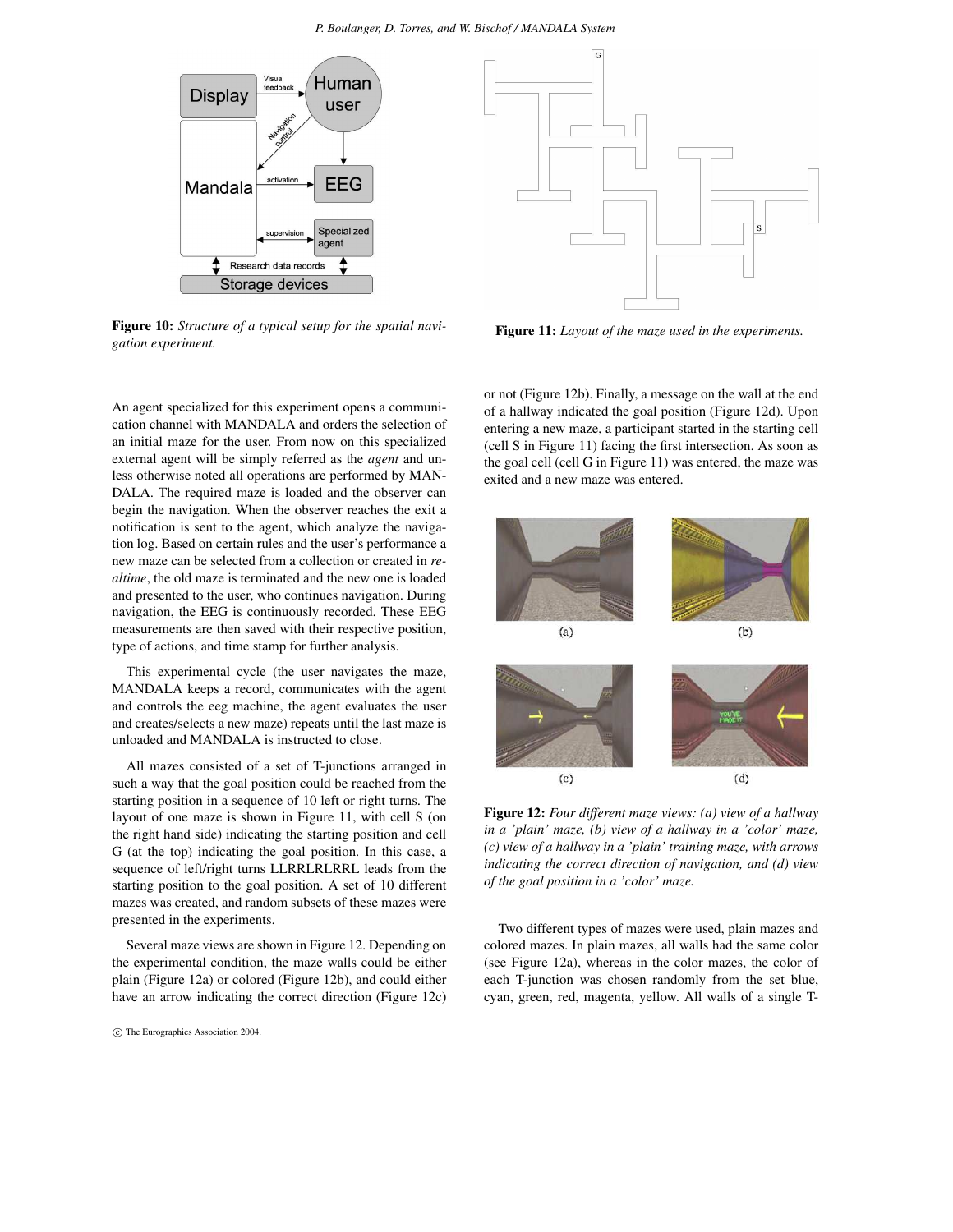#### *P. Boulanger, D. Torres, and W. Bischof / MANDALA System*



**Figure 10:** *Structure of a typical setup for the spatial navigation experiment.*

An agent specialized for this experiment opens a communication channel with MANDALA and orders the selection of an initial maze for the user. From now on this specialized external agent will be simply referred as the *agent* and unless otherwise noted all operations are performed by MAN-DALA. The required maze is loaded and the observer can begin the navigation. When the observer reaches the exit a notification is sent to the agent, which analyze the navigation log. Based on certain rules and the user's performance a new maze can be selected from a collection or created in *realtime*, the old maze is terminated and the new one is loaded and presented to the user, who continues navigation. During navigation, the EEG is continuously recorded. These EEG measurements are then saved with their respective position, type of actions, and time stamp for further analysis.

This experimental cycle (the user navigates the maze, MANDALA keeps a record, communicates with the agent and controls the eeg machine, the agent evaluates the user and creates/selects a new maze) repeats until the last maze is unloaded and MANDALA is instructed to close.

All mazes consisted of a set of T-junctions arranged in such a way that the goal position could be reached from the starting position in a sequence of 10 left or right turns. The layout of one maze is shown in Figure 11, with cell S (on the right hand side) indicating the starting position and cell G (at the top) indicating the goal position. In this case, a sequence of left/right turns LLRRLRLRRL leads from the starting position to the goal position. A set of 10 different mazes was created, and random subsets of these mazes were presented in the experiments.

Several maze views are shown in Figure 12. Depending on the experimental condition, the maze walls could be either plain (Figure 12a) or colored (Figure 12b), and could either have an arrow indicating the correct direction (Figure 12c)

°c The Eurographics Association 2004.



**Figure 11:** *Layout of the maze used in the experiments.*

or not (Figure 12b). Finally, a message on the wall at the end of a hallway indicated the goal position (Figure 12d). Upon entering a new maze, a participant started in the starting cell (cell S in Figure 11) facing the first intersection. As soon as the goal cell (cell G in Figure 11) was entered, the maze was exited and a new maze was entered.



**Figure 12:** *Four different maze views: (a) view of a hallway in a 'plain' maze, (b) view of a hallway in a 'color' maze, (c) view of a hallway in a 'plain' training maze, with arrows indicating the correct direction of navigation, and (d) view of the goal position in a 'color' maze.*

Two different types of mazes were used, plain mazes and colored mazes. In plain mazes, all walls had the same color (see Figure 12a), whereas in the color mazes, the color of each T-junction was chosen randomly from the set blue, cyan, green, red, magenta, yellow. All walls of a single T-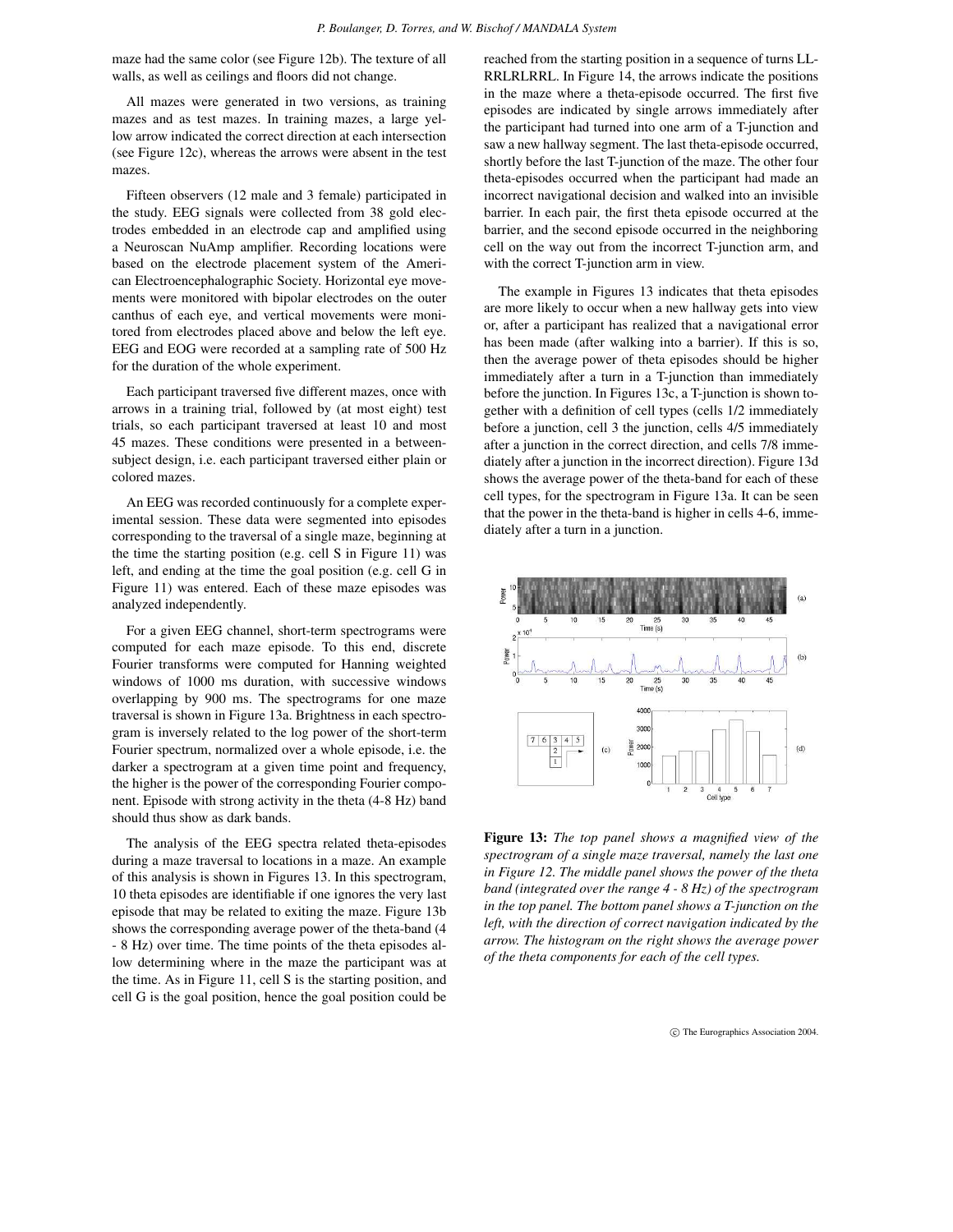maze had the same color (see Figure 12b). The texture of all walls, as well as ceilings and floors did not change.

All mazes were generated in two versions, as training mazes and as test mazes. In training mazes, a large yellow arrow indicated the correct direction at each intersection (see Figure 12c), whereas the arrows were absent in the test mazes.

Fifteen observers (12 male and 3 female) participated in the study. EEG signals were collected from 38 gold electrodes embedded in an electrode cap and amplified using a Neuroscan NuAmp amplifier. Recording locations were based on the electrode placement system of the American Electroencephalographic Society. Horizontal eye movements were monitored with bipolar electrodes on the outer canthus of each eye, and vertical movements were monitored from electrodes placed above and below the left eye. EEG and EOG were recorded at a sampling rate of 500 Hz for the duration of the whole experiment.

Each participant traversed five different mazes, once with arrows in a training trial, followed by (at most eight) test trials, so each participant traversed at least 10 and most 45 mazes. These conditions were presented in a betweensubject design, i.e. each participant traversed either plain or colored mazes.

An EEG was recorded continuously for a complete experimental session. These data were segmented into episodes corresponding to the traversal of a single maze, beginning at the time the starting position (e.g. cell S in Figure 11) was left, and ending at the time the goal position (e.g. cell G in Figure 11) was entered. Each of these maze episodes was analyzed independently.

For a given EEG channel, short-term spectrograms were computed for each maze episode. To this end, discrete Fourier transforms were computed for Hanning weighted windows of 1000 ms duration, with successive windows overlapping by 900 ms. The spectrograms for one maze traversal is shown in Figure 13a. Brightness in each spectrogram is inversely related to the log power of the short-term Fourier spectrum, normalized over a whole episode, i.e. the darker a spectrogram at a given time point and frequency, the higher is the power of the corresponding Fourier component. Episode with strong activity in the theta (4-8 Hz) band should thus show as dark bands.

The analysis of the EEG spectra related theta-episodes during a maze traversal to locations in a maze. An example of this analysis is shown in Figures 13. In this spectrogram, 10 theta episodes are identifiable if one ignores the very last episode that may be related to exiting the maze. Figure 13b shows the corresponding average power of the theta-band (4 - 8 Hz) over time. The time points of the theta episodes allow determining where in the maze the participant was at the time. As in Figure 11, cell S is the starting position, and cell G is the goal position, hence the goal position could be

reached from the starting position in a sequence of turns LL-RRLRLRRL. In Figure 14, the arrows indicate the positions in the maze where a theta-episode occurred. The first five episodes are indicated by single arrows immediately after the participant had turned into one arm of a T-junction and saw a new hallway segment. The last theta-episode occurred, shortly before the last T-junction of the maze. The other four theta-episodes occurred when the participant had made an incorrect navigational decision and walked into an invisible barrier. In each pair, the first theta episode occurred at the barrier, and the second episode occurred in the neighboring cell on the way out from the incorrect T-junction arm, and with the correct T-junction arm in view.

The example in Figures 13 indicates that theta episodes are more likely to occur when a new hallway gets into view or, after a participant has realized that a navigational error has been made (after walking into a barrier). If this is so, then the average power of theta episodes should be higher immediately after a turn in a T-junction than immediately before the junction. In Figures 13c, a T-junction is shown together with a definition of cell types (cells 1/2 immediately before a junction, cell 3 the junction, cells 4/5 immediately after a junction in the correct direction, and cells 7/8 immediately after a junction in the incorrect direction). Figure 13d shows the average power of the theta-band for each of these cell types, for the spectrogram in Figure 13a. It can be seen that the power in the theta-band is higher in cells 4-6, immediately after a turn in a junction.



**Figure 13:** *The top panel shows a magnified view of the spectrogram of a single maze traversal, namely the last one in Figure 12. The middle panel shows the power of the theta band (integrated over the range 4 - 8 Hz) of the spectrogram in the top panel. The bottom panel shows a T-junction on the left, with the direction of correct navigation indicated by the arrow. The histogram on the right shows the average power of the theta components for each of the cell types.*

 $^{\circ}$  The Eurographics Association 2004.